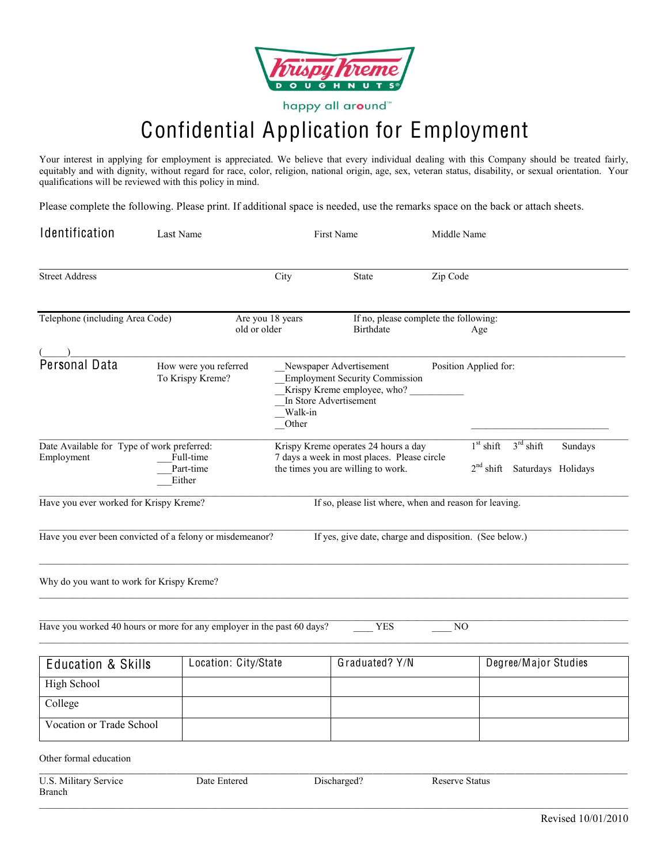

happy all around™

## Confidential Application for Employment

Your interest in applying for employment is appreciated. We believe that every individual dealing with this Company should be treated fairly, equitably and with dignity, without regard for race, color, religion, national origin, age, sex, veteran status, disability, or sexual orientation. Your qualifications will be reviewed with this policy in mind.

Please complete the following. Please print. If additional space is needed, use the remarks space on the back or attach sheets.

| Identification                                                                               | Last Name                                                              | First Name       |                                                                                                                           | Middle Name                |                                              |  |  |
|----------------------------------------------------------------------------------------------|------------------------------------------------------------------------|------------------|---------------------------------------------------------------------------------------------------------------------------|----------------------------|----------------------------------------------|--|--|
| <b>Street Address</b>                                                                        |                                                                        | City             | <b>State</b>                                                                                                              | Zip Code                   |                                              |  |  |
| Telephone (including Area Code)<br>old or older                                              |                                                                        | Are you 18 years | If no, please complete the following:<br><b>Birthdate</b>                                                                 |                            |                                              |  |  |
| $\frac{(-1)^n}{2^n}$ Personal Data                                                           | How were you referred<br>To Krispy Kreme?                              | Walk-in<br>Other | Newspaper Advertisement<br><b>Employment Security Commission</b><br>Krispy Kreme employee, who?<br>In Store Advertisement | Position Applied for:      |                                              |  |  |
| Date Available for Type of work preferred:<br>Employment<br>Full-time<br>Part-time<br>Either |                                                                        |                  | Krispy Kreme operates 24 hours a day<br>7 days a week in most places. Please circle<br>the times you are willing to work. | $1st$ shift<br>$2nd$ shift | $3rd$ shift<br>Sundays<br>Saturdays Holidays |  |  |
| Have you ever worked for Krispy Kreme?                                                       |                                                                        |                  | If so, please list where, when and reason for leaving.                                                                    |                            |                                              |  |  |
|                                                                                              | Have you ever been convicted of a felony or misdemeanor?               |                  | If yes, give date, charge and disposition. (See below.)                                                                   |                            |                                              |  |  |
| Why do you want to work for Krispy Kreme?                                                    |                                                                        |                  |                                                                                                                           |                            |                                              |  |  |
|                                                                                              | Have you worked 40 hours or more for any employer in the past 60 days? |                  | <b>YES</b>                                                                                                                | NO                         |                                              |  |  |
| <b>Education &amp; Skills</b>                                                                | Location: City/State                                                   |                  | Graduated? Y/N                                                                                                            |                            | Degree/Major Studies                         |  |  |
| High School                                                                                  |                                                                        |                  |                                                                                                                           |                            |                                              |  |  |
| College                                                                                      |                                                                        |                  |                                                                                                                           |                            |                                              |  |  |
| Vocation or Trade School                                                                     |                                                                        |                  |                                                                                                                           |                            |                                              |  |  |
| Other formal education                                                                       |                                                                        |                  |                                                                                                                           |                            |                                              |  |  |

U.S. Military Service Date Entered Discharged? Reserve Status

Branch